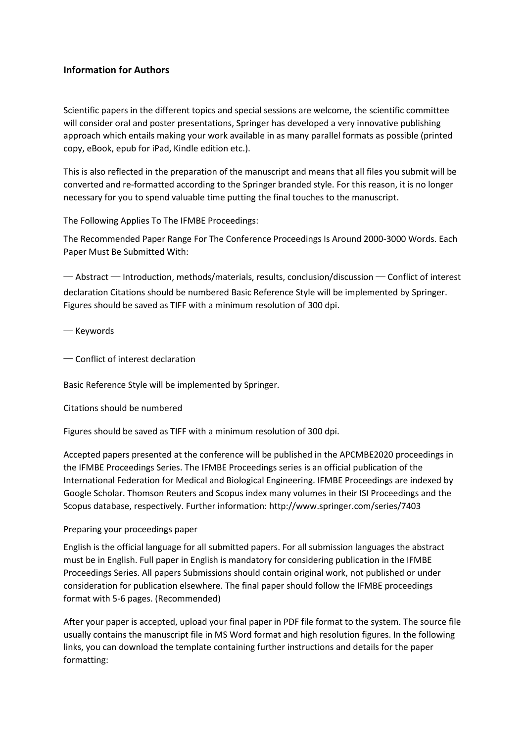## **Information for Authors**

Scientific papers in the different topics and special sessions are welcome, the scientific committee will consider oral and poster presentations, Springer has developed a very innovative publishing approach which entails making your work available in as many parallel formats as possible (printed copy, eBook, epub for iPad, Kindle edition etc.).

This is also reflected in the preparation of the manuscript and means that all files you submit will be converted and re-formatted according to the Springer branded style. For this reason, it is no longer necessary for you to spend valuable time putting the final touches to the manuscript.

The Following Applies To The IFMBE Proceedings:

The Recommended Paper Range For The Conference Proceedings Is Around 2000-3000 Words. Each Paper Must Be Submitted With:

─ Abstract ─ Introduction, methods/materials, results, conclusion/discussion ─ Conflict of interest declaration Citations should be numbered Basic Reference Style will be implemented by Springer. Figures should be saved as TIFF with a minimum resolution of 300 dpi.

─ Keywords

─ Conflict of interest declaration

Basic Reference Style will be implemented by Springer.

Citations should be numbered

Figures should be saved as TIFF with a minimum resolution of 300 dpi.

Accepted papers presented at the conference will be published in the APCMBE2020 proceedings in the IFMBE Proceedings Series. The IFMBE Proceedings series is an official publication of the International Federation for Medical and Biological Engineering. IFMBE Proceedings are indexed by Google Scholar. Thomson Reuters and Scopus index many volumes in their ISI Proceedings and the Scopus database, respectively. Further information: http://www.springer.com/series/7403

## Preparing your proceedings paper

English is the official language for all submitted papers. For all submission languages the abstract must be in English. Full paper in English is mandatory for considering publication in the IFMBE Proceedings Series. All papers Submissions should contain original work, not published or under consideration for publication elsewhere. The final paper should follow the IFMBE proceedings format with 5-6 pages. (Recommended)

After your paper is accepted, upload your final paper in PDF file format to the system. The source file usually contains the manuscript file in MS Word format and high resolution figures. In the following links, you can download the template containing further instructions and details for the paper formatting: